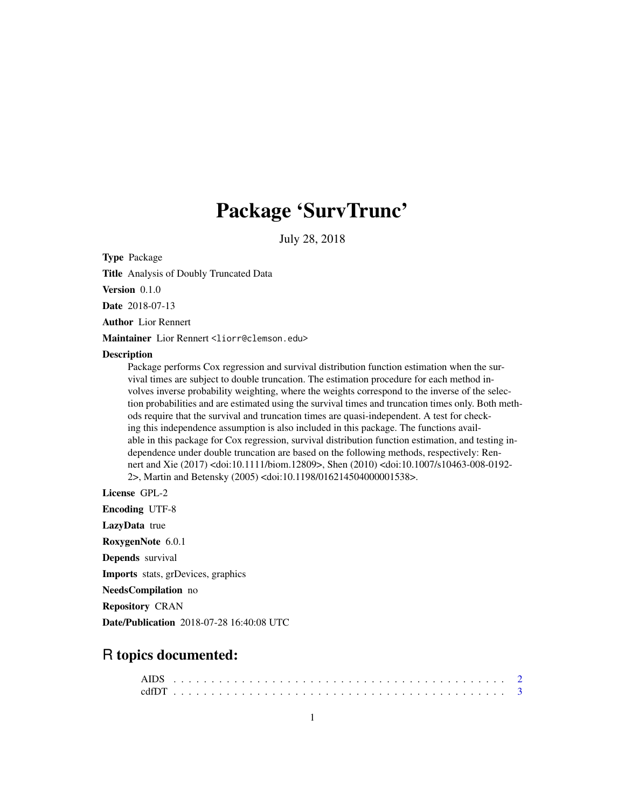## Package 'SurvTrunc'

July 28, 2018

Type Package

Title Analysis of Doubly Truncated Data

Version 0.1.0

Date 2018-07-13

Author Lior Rennert

Maintainer Lior Rennert <liorr@clemson.edu>

#### **Description**

Package performs Cox regression and survival distribution function estimation when the survival times are subject to double truncation. The estimation procedure for each method involves inverse probability weighting, where the weights correspond to the inverse of the selection probabilities and are estimated using the survival times and truncation times only. Both methods require that the survival and truncation times are quasi-independent. A test for checking this independence assumption is also included in this package. The functions available in this package for Cox regression, survival distribution function estimation, and testing independence under double truncation are based on the following methods, respectively: Rennert and Xie (2017) <doi:10.1111/biom.12809>, Shen (2010) <doi:10.1007/s10463-008-0192- 2>, Martin and Betensky (2005) <doi:10.1198/016214504000001538>.

License GPL-2

Encoding UTF-8

LazyData true

RoxygenNote 6.0.1

Depends survival

Imports stats, grDevices, graphics

NeedsCompilation no

Repository CRAN

Date/Publication 2018-07-28 16:40:08 UTC

### R topics documented: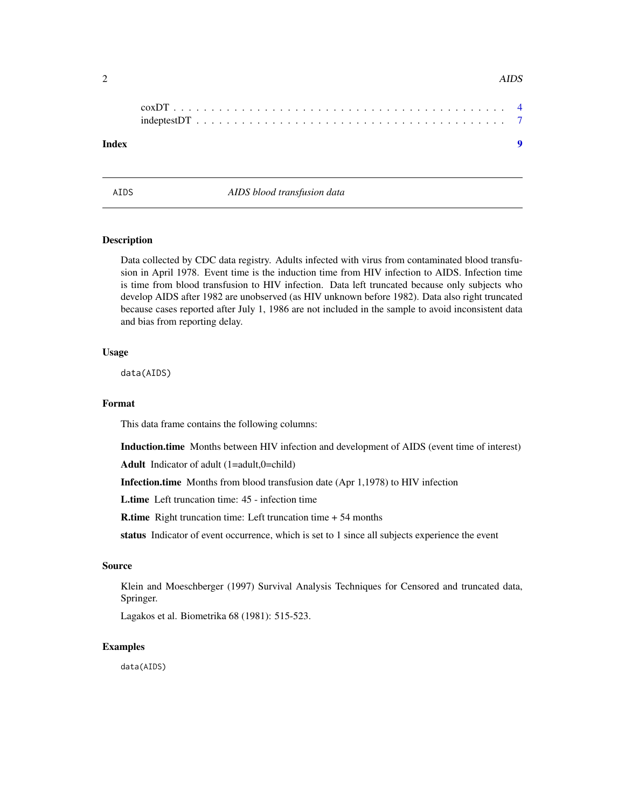<span id="page-1-0"></span>

| Index |  |  |  |  |  |  |  |  |  |  |  |  |  |  |  |  |  |  |
|-------|--|--|--|--|--|--|--|--|--|--|--|--|--|--|--|--|--|--|

AIDS *AIDS blood transfusion data*

#### Description

Data collected by CDC data registry. Adults infected with virus from contaminated blood transfusion in April 1978. Event time is the induction time from HIV infection to AIDS. Infection time is time from blood transfusion to HIV infection. Data left truncated because only subjects who develop AIDS after 1982 are unobserved (as HIV unknown before 1982). Data also right truncated because cases reported after July 1, 1986 are not included in the sample to avoid inconsistent data and bias from reporting delay.

#### Usage

data(AIDS)

#### Format

This data frame contains the following columns:

Induction.time Months between HIV infection and development of AIDS (event time of interest)

Adult Indicator of adult (1=adult,0=child)

Infection.time Months from blood transfusion date (Apr 1,1978) to HIV infection

L.time Left truncation time: 45 - infection time

R.time Right truncation time: Left truncation time + 54 months

status Indicator of event occurrence, which is set to 1 since all subjects experience the event

#### Source

Klein and Moeschberger (1997) Survival Analysis Techniques for Censored and truncated data, Springer.

Lagakos et al. Biometrika 68 (1981): 515-523.

#### Examples

data(AIDS)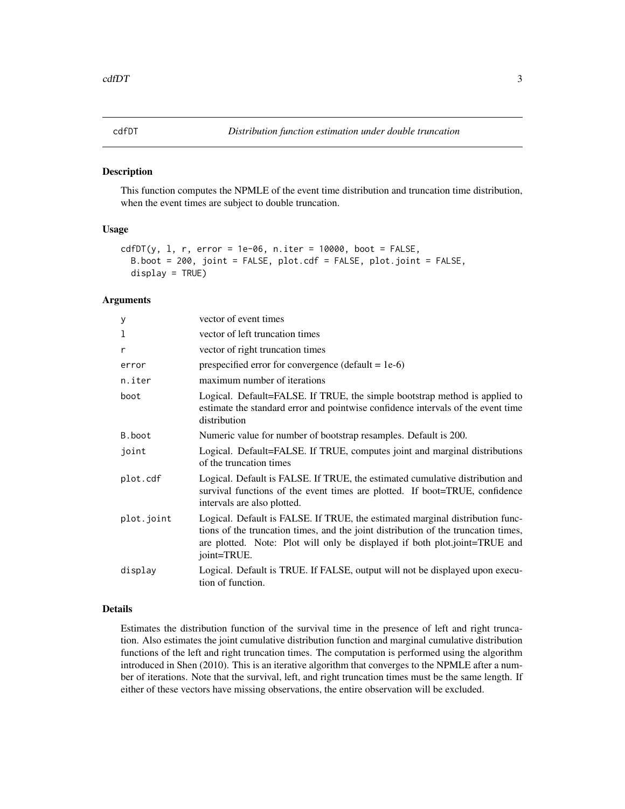#### <span id="page-2-0"></span>Description

This function computes the NPMLE of the event time distribution and truncation time distribution, when the event times are subject to double truncation.

#### Usage

```
cdfDT(y, 1, r, error = 1e-06, n.iter = 10000, boot = FALSE,B.boot = 200, joint = FALSE, plot.cdf = FALSE, plot.joint = FALSE,
  display = TRUE)
```
#### Arguments

| У          | vector of event times                                                                                                                                                                                                                                            |
|------------|------------------------------------------------------------------------------------------------------------------------------------------------------------------------------------------------------------------------------------------------------------------|
| 1          | vector of left truncation times                                                                                                                                                                                                                                  |
| r          | vector of right truncation times                                                                                                                                                                                                                                 |
| error      | prespecified error for convergence (default = $1e-6$ )                                                                                                                                                                                                           |
| n.iter     | maximum number of iterations                                                                                                                                                                                                                                     |
| boot       | Logical. Default=FALSE. If TRUE, the simple bootstrap method is applied to<br>estimate the standard error and pointwise confidence intervals of the event time<br>distribution                                                                                   |
| B.boot     | Numeric value for number of bootstrap resamples. Default is 200.                                                                                                                                                                                                 |
| joint      | Logical. Default=FALSE. If TRUE, computes joint and marginal distributions<br>of the truncation times                                                                                                                                                            |
| plot.cdf   | Logical. Default is FALSE. If TRUE, the estimated cumulative distribution and<br>survival functions of the event times are plotted. If boot=TRUE, confidence<br>intervals are also plotted.                                                                      |
| plot.joint | Logical. Default is FALSE. If TRUE, the estimated marginal distribution func-<br>tions of the truncation times, and the joint distribution of the truncation times,<br>are plotted. Note: Plot will only be displayed if both plot.joint=TRUE and<br>joint=TRUE. |
| display    | Logical. Default is TRUE. If FALSE, output will not be displayed upon execu-<br>tion of function.                                                                                                                                                                |

#### Details

Estimates the distribution function of the survival time in the presence of left and right truncation. Also estimates the joint cumulative distribution function and marginal cumulative distribution functions of the left and right truncation times. The computation is performed using the algorithm introduced in Shen (2010). This is an iterative algorithm that converges to the NPMLE after a number of iterations. Note that the survival, left, and right truncation times must be the same length. If either of these vectors have missing observations, the entire observation will be excluded.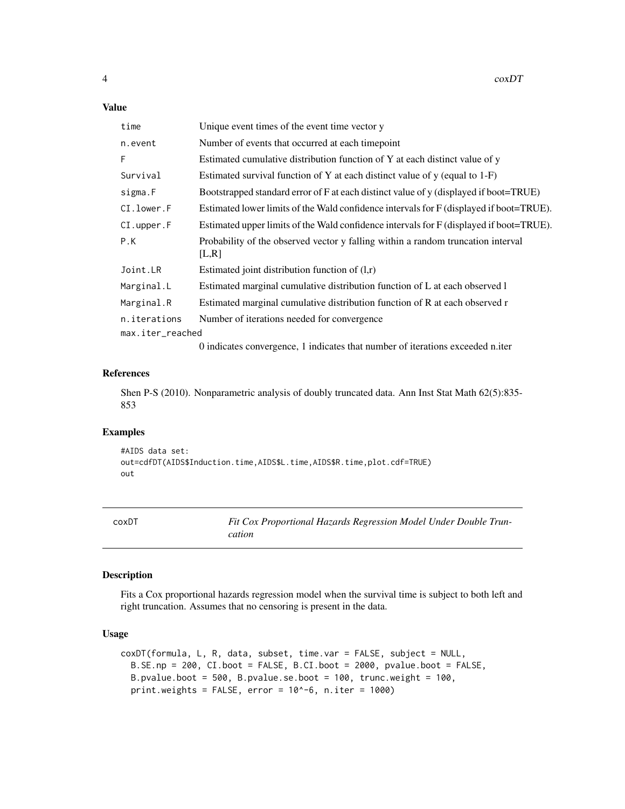#### <span id="page-3-0"></span>Value

| time             | Unique event times of the event time vector y                                             |
|------------------|-------------------------------------------------------------------------------------------|
| n.event          | Number of events that occurred at each time point                                         |
| F                | Estimated cumulative distribution function of Y at each distinct value of y               |
| Survival         | Estimated survival function of Y at each distinct value of $y$ (equal to 1-F)             |
| sigma.F          | Bootstrapped standard error of F at each distinct value of y (displayed if boot=TRUE)     |
| CI.lower.F       | Estimated lower limits of the Wald confidence intervals for F (displayed if boot=TRUE).   |
| CI. upper.F      | Estimated upper limits of the Wald confidence intervals for F (displayed if boot=TRUE).   |
| P.K              | Probability of the observed vector y falling within a random truncation interval<br>[L,R] |
| Joint.LR         | Estimated joint distribution function of $(l,r)$                                          |
| Marginal.L       | Estimated marginal cumulative distribution function of L at each observed 1               |
| Marginal.R       | Estimated marginal cumulative distribution function of R at each observed r               |
| n.iterations     | Number of iterations needed for convergence.                                              |
| max.iter_reached |                                                                                           |
|                  | $0$ indicates convergence $1$ indicates that number of iterations averaged a iter         |

0 indicates convergence, 1 indicates that number of iterations exceeded n.iter

#### References

Shen P-S (2010). Nonparametric analysis of doubly truncated data. Ann Inst Stat Math 62(5):835- 853

#### Examples

#AIDS data set: out=cdfDT(AIDS\$Induction.time,AIDS\$L.time,AIDS\$R.time,plot.cdf=TRUE) out

coxDT *Fit Cox Proportional Hazards Regression Model Under Double Truncation*

#### Description

Fits a Cox proportional hazards regression model when the survival time is subject to both left and right truncation. Assumes that no censoring is present in the data.

#### Usage

```
coxDT(formula, L, R, data, subset, time.var = FALSE, subject = NULL,
 B.SE.np = 200, CI.boot = FALSE, B.CI.boot = 2000, pvalue.boot = FALSE,
 B.pvalue.boot = 500, B.pvalue.se.boot = 100, trunc.weight = 100,
 print.weights = FALSE, error = 10^-6, n.iter = 1000)
```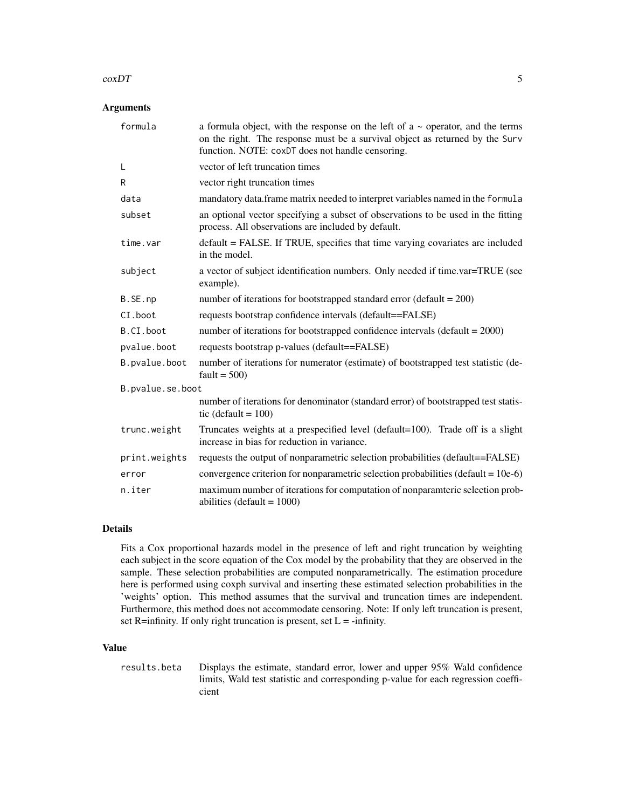#### $\sim 5$

#### Arguments

| formula          | a formula object, with the response on the left of $a \sim$ operator, and the terms<br>on the right. The response must be a survival object as returned by the Surv<br>function. NOTE: coxDT does not handle censoring. |
|------------------|-------------------------------------------------------------------------------------------------------------------------------------------------------------------------------------------------------------------------|
| L                | vector of left truncation times                                                                                                                                                                                         |
| R                | vector right truncation times                                                                                                                                                                                           |
| data             | mandatory data.frame matrix needed to interpret variables named in the formula                                                                                                                                          |
| subset           | an optional vector specifying a subset of observations to be used in the fitting<br>process. All observations are included by default.                                                                                  |
| time.var         | default = FALSE. If TRUE, specifies that time varying covariates are included<br>in the model.                                                                                                                          |
| subject          | a vector of subject identification numbers. Only needed if time.var=TRUE (see<br>example).                                                                                                                              |
| B.SE.np          | number of iterations for bootstrapped standard error (default = $200$ )                                                                                                                                                 |
| CI.boot          | requests bootstrap confidence intervals (default==FALSE)                                                                                                                                                                |
| B.CI.boot        | number of iterations for bootstrapped confidence intervals (default $= 2000$ )                                                                                                                                          |
| pvalue.boot      | requests bootstrap p-values (default==FALSE)                                                                                                                                                                            |
| B.pvalue.boot    | number of iterations for numerator (estimate) of bootstrapped test statistic (de-<br>fault = $500$ )                                                                                                                    |
| B.pvalue.se.boot |                                                                                                                                                                                                                         |
|                  | number of iterations for denominator (standard error) of bootstrapped test statis-<br>tic (default = $100$ )                                                                                                            |
| trunc.weight     | Truncates weights at a prespecified level (default=100). Trade off is a slight<br>increase in bias for reduction in variance.                                                                                           |
| print.weights    | requests the output of nonparametric selection probabilities (default==FALSE)                                                                                                                                           |
| error            | convergence criterion for nonparametric selection probabilities (default = $10e-6$ )                                                                                                                                    |
| n.iter           | maximum number of iterations for computation of nonparamteric selection prob-<br>abilities (default = $1000$ )                                                                                                          |

#### Details

Fits a Cox proportional hazards model in the presence of left and right truncation by weighting each subject in the score equation of the Cox model by the probability that they are observed in the sample. These selection probabilities are computed nonparametrically. The estimation procedure here is performed using coxph survival and inserting these estimated selection probabilities in the 'weights' option. This method assumes that the survival and truncation times are independent. Furthermore, this method does not accommodate censoring. Note: If only left truncation is present, set R=infinity. If only right truncation is present, set  $L = -\infty$ -infinity.

#### Value

results.beta Displays the estimate, standard error, lower and upper 95% Wald confidence limits, Wald test statistic and corresponding p-value for each regression coefficient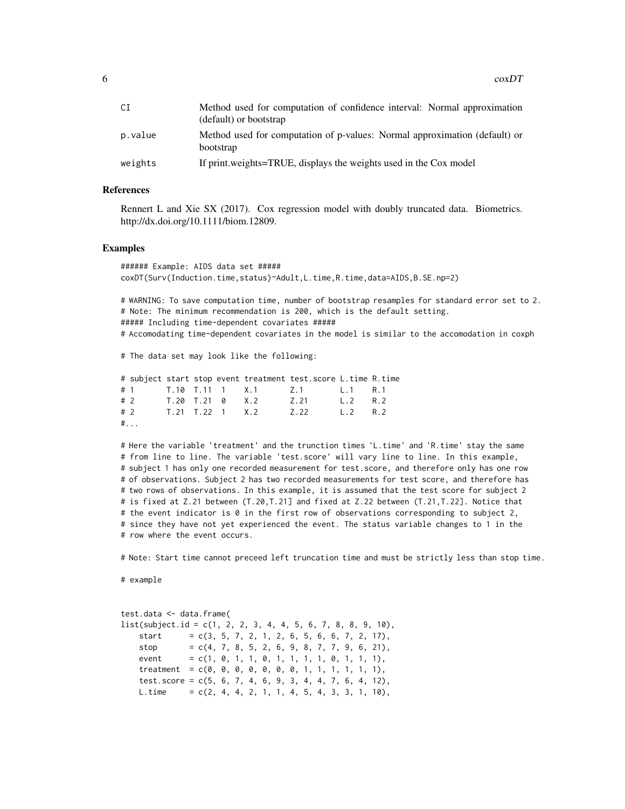| СI      | Method used for computation of confidence interval: Normal approximation<br>(default) or bootstrap |
|---------|----------------------------------------------------------------------------------------------------|
| p.value | Method used for computation of p-values: Normal approximation (default) or<br>bootstrap            |
| weights | If print weights=TRUE, displays the weights used in the Cox model                                  |

#### References

Rennert L and Xie SX (2017). Cox regression model with doubly truncated data. Biometrics. http://dx.doi.org/10.1111/biom.12809.

#### Examples

###### Example: AIDS data set ##### coxDT(Surv(Induction.time,status)~Adult,L.time,R.time,data=AIDS,B.SE.np=2)

# WARNING: To save computation time, number of bootstrap resamples for standard error set to 2. # Note: The minimum recommendation is 200, which is the default setting. ##### Including time-dependent covariates #####

# Accomodating time-dependent covariates in the model is similar to the accomodation in coxph

# The data set may look like the following:

|      |  |  | # subject start stop event treatment test. score L. time R. time |  |
|------|--|--|------------------------------------------------------------------|--|
|      |  |  | # 1 T.10 T.11 1 X.1 Z.1 L.1 R.1                                  |  |
|      |  |  | # 2 T.20 T.21 0 X.2 Z.21 L.2 R.2                                 |  |
|      |  |  | # 2 T.21 T.22 1 X.2 Z.22 L.2 R.2                                 |  |
| $\#$ |  |  |                                                                  |  |

# Here the variable 'treatment' and the trunction times 'L.time' and 'R.time' stay the same # from line to line. The variable 'test.score' will vary line to line. In this example, # subject 1 has only one recorded measurement for test.score, and therefore only has one row # of observations. Subject 2 has two recorded measurements for test score, and therefore has # two rows of observations. In this example, it is assumed that the test score for subject 2 # is fixed at Z.21 between (T.20,T.21] and fixed at Z.22 between (T.21,T.22]. Notice that # the event indicator is 0 in the first row of observations corresponding to subject 2, # since they have not yet experienced the event. The status variable changes to 1 in the # row where the event occurs.

# Note: Start time cannot preceed left truncation time and must be strictly less than stop time.

# example

| test.data <- data.frame(                                     |  |                                                |  |  |  |  |  |  |  |  |  |
|--------------------------------------------------------------|--|------------------------------------------------|--|--|--|--|--|--|--|--|--|
| list(subject.id = c(1, 2, 2, 3, 4, 4, 5, 6, 7, 8, 8, 9, 10), |  |                                                |  |  |  |  |  |  |  |  |  |
| start                                                        |  | $= c(3, 5, 7, 2, 1, 2, 6, 5, 6, 6, 7, 2, 17),$ |  |  |  |  |  |  |  |  |  |
| stop                                                         |  | $= c(4, 7, 8, 5, 2, 6, 9, 8, 7, 7, 9, 6, 21),$ |  |  |  |  |  |  |  |  |  |
| event                                                        |  | $= c(1, 0, 1, 1, 0, 1, 1, 1, 1, 0, 1, 1, 1),$  |  |  |  |  |  |  |  |  |  |
| treatment                                                    |  | $= c(0, 0, 0, 0, 0, 0, 0, 0, 1, 1, 1, 1, 1)$ , |  |  |  |  |  |  |  |  |  |
| test.score = $c(5, 6, 7, 4, 6, 9, 3, 4, 4, 7, 6, 4, 12)$ ,   |  |                                                |  |  |  |  |  |  |  |  |  |
| L.time = $c(2, 4, 4, 2, 1, 1, 4, 5, 4, 3, 3, 1, 10)$ ,       |  |                                                |  |  |  |  |  |  |  |  |  |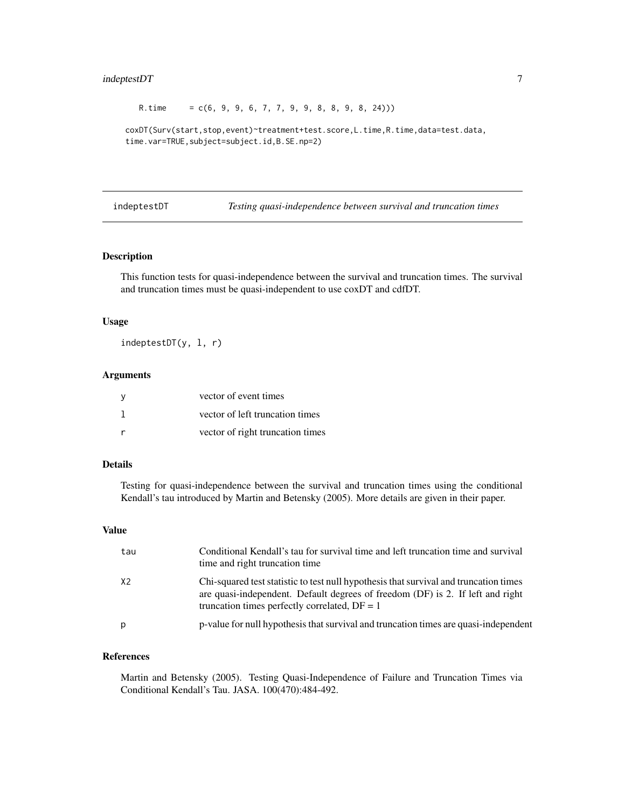#### <span id="page-6-0"></span>indeptestDT 7

R.time =  $c(6, 9, 9, 6, 7, 7, 9, 9, 8, 8, 9, 8, 24))$ 

```
coxDT(Surv(start,stop,event)~treatment+test.score,L.time,R.time,data=test.data,
time.var=TRUE,subject=subject.id,B.SE.np=2)
```
indeptestDT *Testing quasi-independence between survival and truncation times*

#### Description

This function tests for quasi-independence between the survival and truncation times. The survival and truncation times must be quasi-independent to use coxDT and cdfDT.

#### Usage

indeptestDT(y, l, r)

#### Arguments

| vector of event times            |
|----------------------------------|
| vector of left truncation times  |
| vector of right truncation times |

#### Details

Testing for quasi-independence between the survival and truncation times using the conditional Kendall's tau introduced by Martin and Betensky (2005). More details are given in their paper.

#### Value

| tau | Conditional Kendall's tau for survival time and left truncation time and survival<br>time and right truncation time                                                                                                        |
|-----|----------------------------------------------------------------------------------------------------------------------------------------------------------------------------------------------------------------------------|
| X2  | Chi-squared test statistic to test null hypothesis that survival and truncation times<br>are quasi-independent. Default degrees of freedom (DF) is 2. If left and right<br>truncation times perfectly correlated, $DF = 1$ |
| p   | p-value for null hypothesis that survival and truncation times are quasi-independent                                                                                                                                       |

#### References

Martin and Betensky (2005). Testing Quasi-Independence of Failure and Truncation Times via Conditional Kendall's Tau. JASA. 100(470):484-492.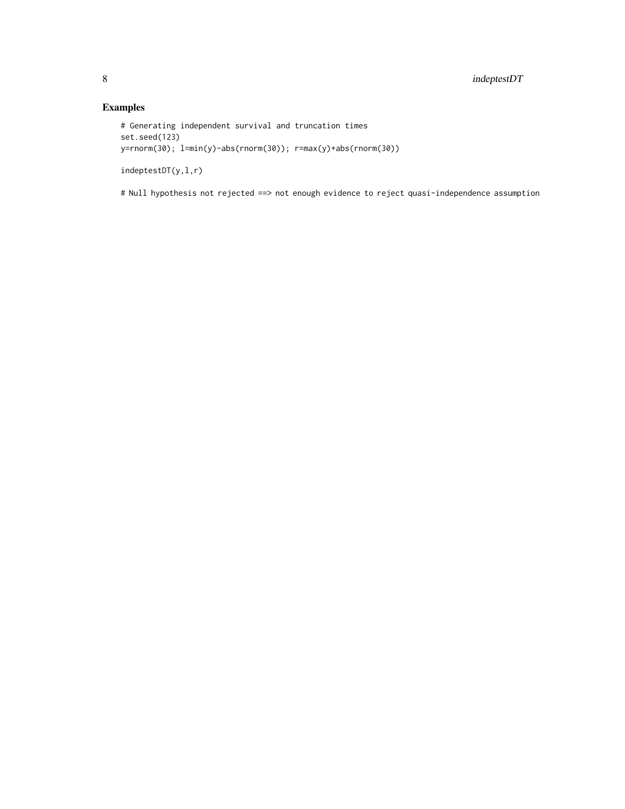#### Examples

```
# Generating independent survival and truncation times
set.seed(123)
y=rnorm(30); l=min(y)-abs(rnorm(30)); r=max(y)+abs(rnorm(30))
```
indeptestDT(y,l,r)

# Null hypothesis not rejected ==> not enough evidence to reject quasi-independence assumption